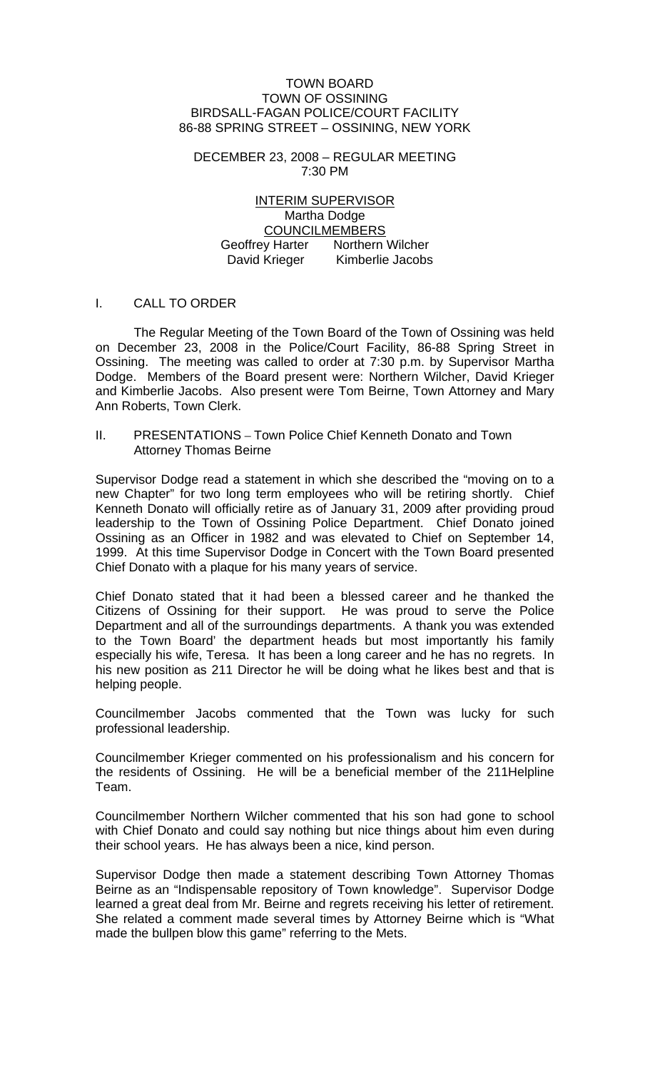#### TOWN BOARD TOWN OF OSSINING BIRDSALL-FAGAN POLICE/COURT FACILITY 86-88 SPRING STREET – OSSINING, NEW YORK

DECEMBER 23, 2008 – REGULAR MEETING 7:30 PM

INTERIM SUPERVISOR Martha Dodge COUNCILMEMBERS Geoffrey Harter Northern Wilcher David Krieger Kimberlie Jacobs

## I. CALL TO ORDER

The Regular Meeting of the Town Board of the Town of Ossining was held on December 23, 2008 in the Police/Court Facility, 86-88 Spring Street in Ossining. The meeting was called to order at 7:30 p.m. by Supervisor Martha Dodge. Members of the Board present were: Northern Wilcher, David Krieger and Kimberlie Jacobs. Also present were Tom Beirne, Town Attorney and Mary Ann Roberts, Town Clerk.

II. PRESENTATIONS – Town Police Chief Kenneth Donato and Town Attorney Thomas Beirne

Supervisor Dodge read a statement in which she described the "moving on to a new Chapter" for two long term employees who will be retiring shortly. Chief Kenneth Donato will officially retire as of January 31, 2009 after providing proud leadership to the Town of Ossining Police Department. Chief Donato joined Ossining as an Officer in 1982 and was elevated to Chief on September 14, 1999. At this time Supervisor Dodge in Concert with the Town Board presented Chief Donato with a plaque for his many years of service.

Chief Donato stated that it had been a blessed career and he thanked the Citizens of Ossining for their support. He was proud to serve the Police Department and all of the surroundings departments. A thank you was extended to the Town Board' the department heads but most importantly his family especially his wife, Teresa. It has been a long career and he has no regrets. In his new position as 211 Director he will be doing what he likes best and that is helping people.

Councilmember Jacobs commented that the Town was lucky for such professional leadership.

Councilmember Krieger commented on his professionalism and his concern for the residents of Ossining. He will be a beneficial member of the 211Helpline Team.

Councilmember Northern Wilcher commented that his son had gone to school with Chief Donato and could say nothing but nice things about him even during their school years. He has always been a nice, kind person.

Supervisor Dodge then made a statement describing Town Attorney Thomas Beirne as an "Indispensable repository of Town knowledge". Supervisor Dodge learned a great deal from Mr. Beirne and regrets receiving his letter of retirement. She related a comment made several times by Attorney Beirne which is "What made the bullpen blow this game" referring to the Mets.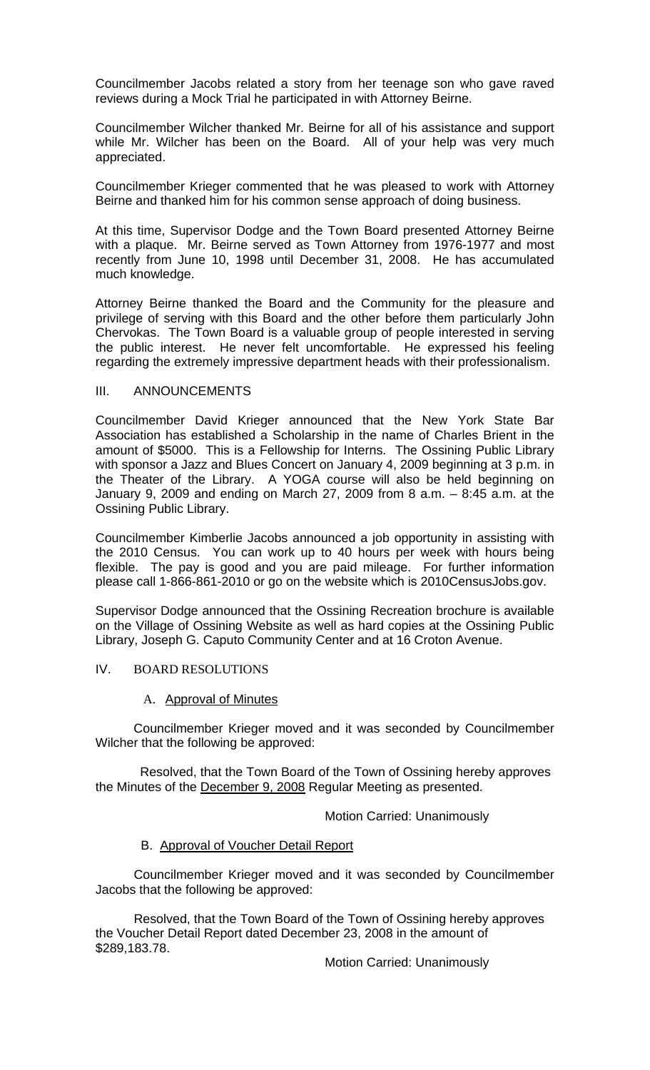Councilmember Jacobs related a story from her teenage son who gave raved reviews during a Mock Trial he participated in with Attorney Beirne.

Councilmember Wilcher thanked Mr. Beirne for all of his assistance and support while Mr. Wilcher has been on the Board. All of your help was very much appreciated.

Councilmember Krieger commented that he was pleased to work with Attorney Beirne and thanked him for his common sense approach of doing business.

At this time, Supervisor Dodge and the Town Board presented Attorney Beirne with a plaque. Mr. Beirne served as Town Attorney from 1976-1977 and most recently from June 10, 1998 until December 31, 2008. He has accumulated much knowledge.

Attorney Beirne thanked the Board and the Community for the pleasure and privilege of serving with this Board and the other before them particularly John Chervokas. The Town Board is a valuable group of people interested in serving the public interest. He never felt uncomfortable. He expressed his feeling regarding the extremely impressive department heads with their professionalism.

## III. ANNOUNCEMENTS

Councilmember David Krieger announced that the New York State Bar Association has established a Scholarship in the name of Charles Brient in the amount of \$5000. This is a Fellowship for Interns. The Ossining Public Library with sponsor a Jazz and Blues Concert on January 4, 2009 beginning at 3 p.m. in the Theater of the Library. A YOGA course will also be held beginning on January 9, 2009 and ending on March 27, 2009 from 8 a.m. – 8:45 a.m. at the Ossining Public Library.

Councilmember Kimberlie Jacobs announced a job opportunity in assisting with the 2010 Census. You can work up to 40 hours per week with hours being flexible. The pay is good and you are paid mileage. For further information please call 1-866-861-2010 or go on the website which is 2010CensusJobs.gov.

Supervisor Dodge announced that the Ossining Recreation brochure is available on the Village of Ossining Website as well as hard copies at the Ossining Public Library, Joseph G. Caputo Community Center and at 16 Croton Avenue.

## IV. BOARD RESOLUTIONS

## A. Approval of Minutes

Councilmember Krieger moved and it was seconded by Councilmember Wilcher that the following be approved:

 Resolved, that the Town Board of the Town of Ossining hereby approves the Minutes of the December 9, 2008 Regular Meeting as presented.

Motion Carried: Unanimously

## B. Approval of Voucher Detail Report

 Councilmember Krieger moved and it was seconded by Councilmember Jacobs that the following be approved:

 Resolved, that the Town Board of the Town of Ossining hereby approves the Voucher Detail Report dated December 23, 2008 in the amount of \$289,183.78.

Motion Carried: Unanimously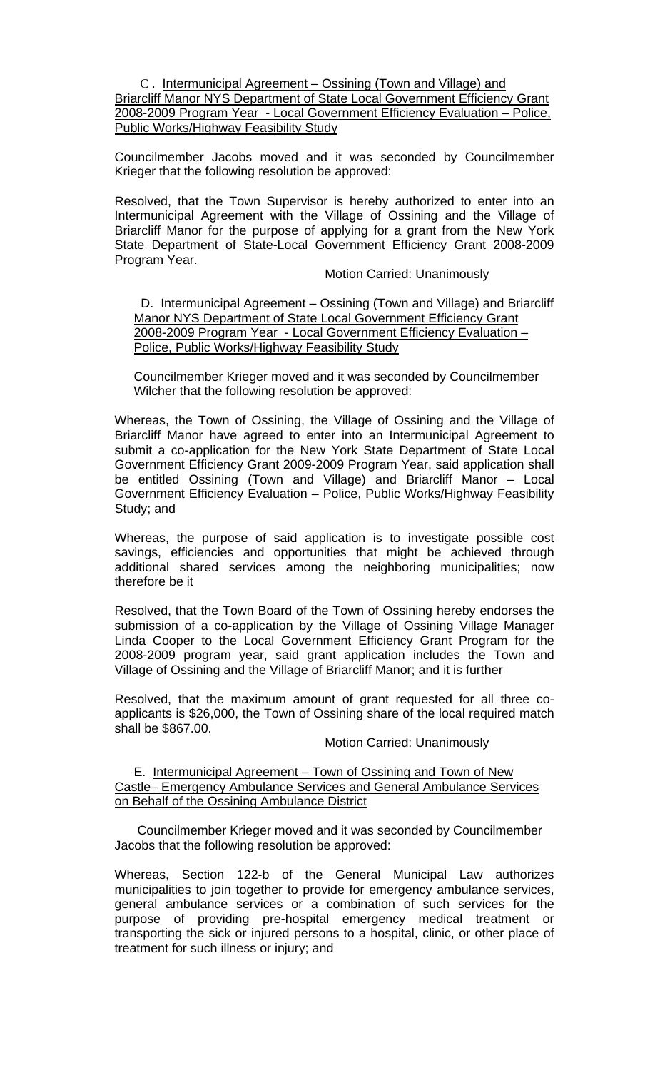## C . Intermunicipal Agreement – Ossining (Town and Village) and Briarcliff Manor NYS Department of State Local Government Efficiency Grant 2008-2009 Program Year - Local Government Efficiency Evaluation – Police, Public Works/Highway Feasibility Study

 Councilmember Jacobs moved and it was seconded by Councilmember Krieger that the following resolution be approved:

Resolved, that the Town Supervisor is hereby authorized to enter into an Intermunicipal Agreement with the Village of Ossining and the Village of Briarcliff Manor for the purpose of applying for a grant from the New York State Department of State-Local Government Efficiency Grant 2008-2009 Program Year.

Motion Carried: Unanimously

 D. Intermunicipal Agreement – Ossining (Town and Village) and Briarcliff Manor NYS Department of State Local Government Efficiency Grant 2008-2009 Program Year - Local Government Efficiency Evaluation – Police, Public Works/Highway Feasibility Study

 Councilmember Krieger moved and it was seconded by Councilmember Wilcher that the following resolution be approved:

Whereas, the Town of Ossining, the Village of Ossining and the Village of Briarcliff Manor have agreed to enter into an Intermunicipal Agreement to submit a co-application for the New York State Department of State Local Government Efficiency Grant 2009-2009 Program Year, said application shall be entitled Ossining (Town and Village) and Briarcliff Manor – Local Government Efficiency Evaluation – Police, Public Works/Highway Feasibility Study; and

Whereas, the purpose of said application is to investigate possible cost savings, efficiencies and opportunities that might be achieved through additional shared services among the neighboring municipalities; now therefore be it

Resolved, that the Town Board of the Town of Ossining hereby endorses the submission of a co-application by the Village of Ossining Village Manager Linda Cooper to the Local Government Efficiency Grant Program for the 2008-2009 program year, said grant application includes the Town and Village of Ossining and the Village of Briarcliff Manor; and it is further

Resolved, that the maximum amount of grant requested for all three coapplicants is \$26,000, the Town of Ossining share of the local required match shall be \$867.00.

Motion Carried: Unanimously

E. Intermunicipal Agreement – Town of Ossining and Town of New Castle– Emergency Ambulance Services and General Ambulance Services on Behalf of the Ossining Ambulance District

 Councilmember Krieger moved and it was seconded by Councilmember Jacobs that the following resolution be approved:

Whereas, Section 122-b of the General Municipal Law authorizes municipalities to join together to provide for emergency ambulance services, general ambulance services or a combination of such services for the purpose of providing pre-hospital emergency medical treatment or transporting the sick or injured persons to a hospital, clinic, or other place of treatment for such illness or injury; and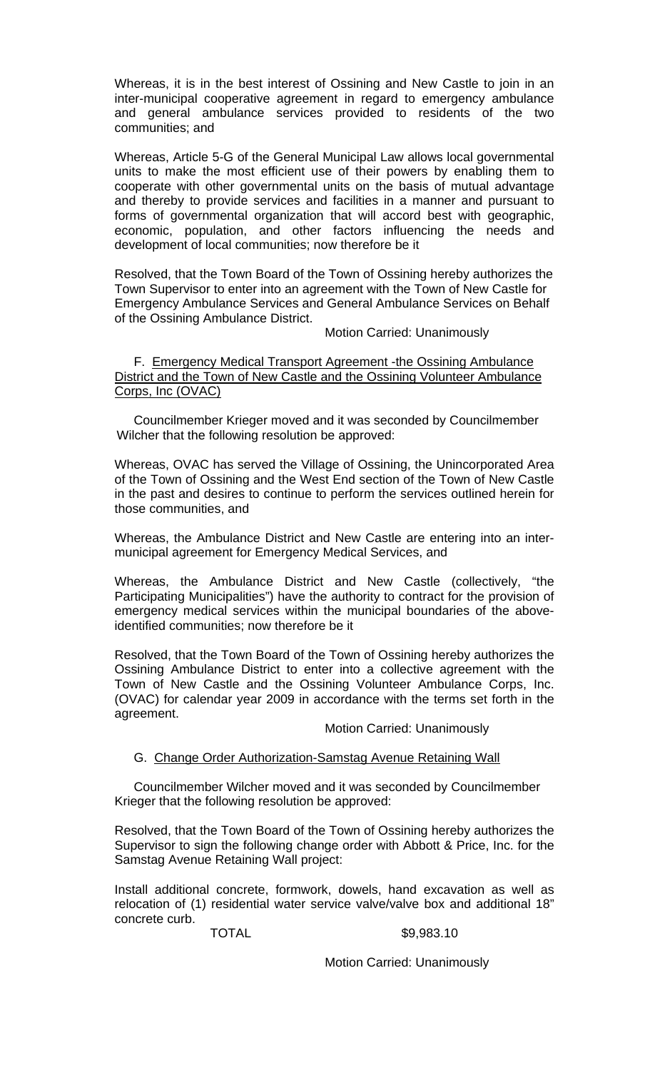Whereas, it is in the best interest of Ossining and New Castle to join in an inter-municipal cooperative agreement in regard to emergency ambulance and general ambulance services provided to residents of the two communities; and

Whereas, Article 5-G of the General Municipal Law allows local governmental units to make the most efficient use of their powers by enabling them to cooperate with other governmental units on the basis of mutual advantage and thereby to provide services and facilities in a manner and pursuant to forms of governmental organization that will accord best with geographic, economic, population, and other factors influencing the needs and development of local communities; now therefore be it

Resolved, that the Town Board of the Town of Ossining hereby authorizes the Town Supervisor to enter into an agreement with the Town of New Castle for Emergency Ambulance Services and General Ambulance Services on Behalf of the Ossining Ambulance District.

Motion Carried: Unanimously

F. Emergency Medical Transport Agreement -the Ossining Ambulance District and the Town of New Castle and the Ossining Volunteer Ambulance Corps, Inc (OVAC)

 Councilmember Krieger moved and it was seconded by Councilmember Wilcher that the following resolution be approved:

Whereas, OVAC has served the Village of Ossining, the Unincorporated Area of the Town of Ossining and the West End section of the Town of New Castle in the past and desires to continue to perform the services outlined herein for those communities, and

Whereas, the Ambulance District and New Castle are entering into an intermunicipal agreement for Emergency Medical Services, and

Whereas, the Ambulance District and New Castle (collectively, "the Participating Municipalities") have the authority to contract for the provision of emergency medical services within the municipal boundaries of the aboveidentified communities; now therefore be it

Resolved, that the Town Board of the Town of Ossining hereby authorizes the Ossining Ambulance District to enter into a collective agreement with the Town of New Castle and the Ossining Volunteer Ambulance Corps, Inc. (OVAC) for calendar year 2009 in accordance with the terms set forth in the agreement.

Motion Carried: Unanimously

## G. Change Order Authorization-Samstag Avenue Retaining Wall

 Councilmember Wilcher moved and it was seconded by Councilmember Krieger that the following resolution be approved:

Resolved, that the Town Board of the Town of Ossining hereby authorizes the Supervisor to sign the following change order with Abbott & Price, Inc. for the Samstag Avenue Retaining Wall project:

Install additional concrete, formwork, dowels, hand excavation as well as relocation of (1) residential water service valve/valve box and additional 18" concrete curb.

#### TOTAL \$9,983.10

Motion Carried: Unanimously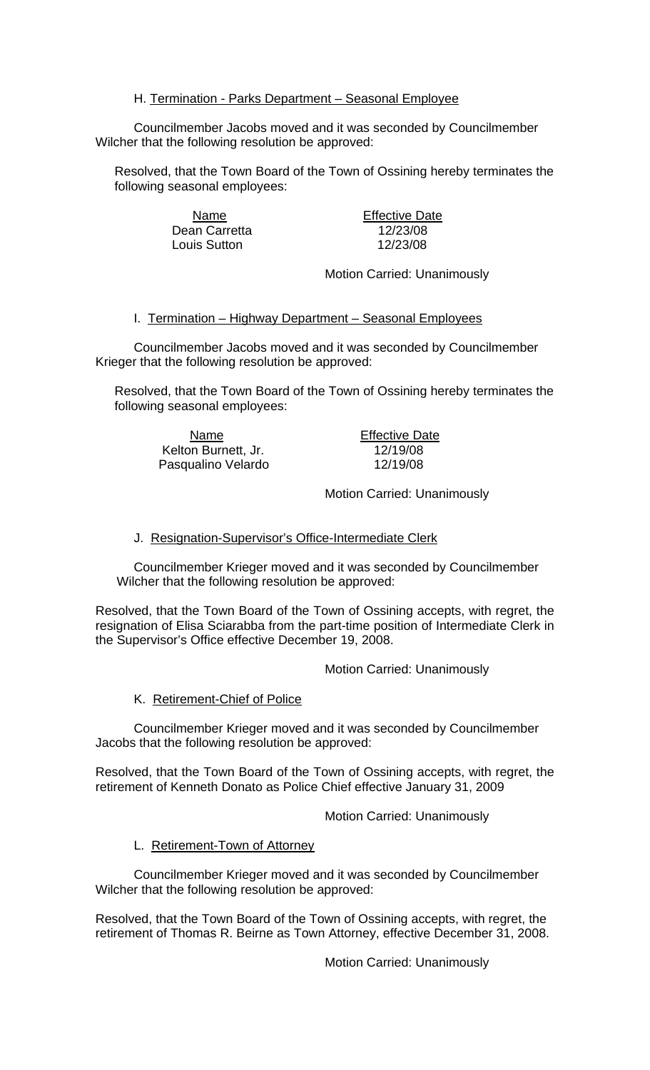# H. Termination - Parks Department - Seasonal Employee

 Councilmember Jacobs moved and it was seconded by Councilmember Wilcher that the following resolution be approved:

Resolved, that the Town Board of the Town of Ossining hereby terminates the following seasonal employees:

> Name **Effective Date** Dean Carretta 12/23/08 Louis Sutton 12/23/08

Motion Carried: Unanimously

I. Termination – Highway Department – Seasonal Employees

 Councilmember Jacobs moved and it was seconded by Councilmember Krieger that the following resolution be approved:

Resolved, that the Town Board of the Town of Ossining hereby terminates the following seasonal employees:

Name **Effective Date** Kelton Burnett, Jr. 12/19/08 Pasqualino Velardo 12/19/08

Motion Carried: Unanimously

## J. Resignation-Supervisor's Office-Intermediate Clerk

 Councilmember Krieger moved and it was seconded by Councilmember Wilcher that the following resolution be approved:

Resolved, that the Town Board of the Town of Ossining accepts, with regret, the resignation of Elisa Sciarabba from the part-time position of Intermediate Clerk in the Supervisor's Office effective December 19, 2008.

Motion Carried: Unanimously

## K. Retirement-Chief of Police

 Councilmember Krieger moved and it was seconded by Councilmember Jacobs that the following resolution be approved:

Resolved, that the Town Board of the Town of Ossining accepts, with regret, the retirement of Kenneth Donato as Police Chief effective January 31, 2009

Motion Carried: Unanimously

## L. Retirement-Town of Attorney

 Councilmember Krieger moved and it was seconded by Councilmember Wilcher that the following resolution be approved:

Resolved, that the Town Board of the Town of Ossining accepts, with regret, the retirement of Thomas R. Beirne as Town Attorney, effective December 31, 2008.

Motion Carried: Unanimously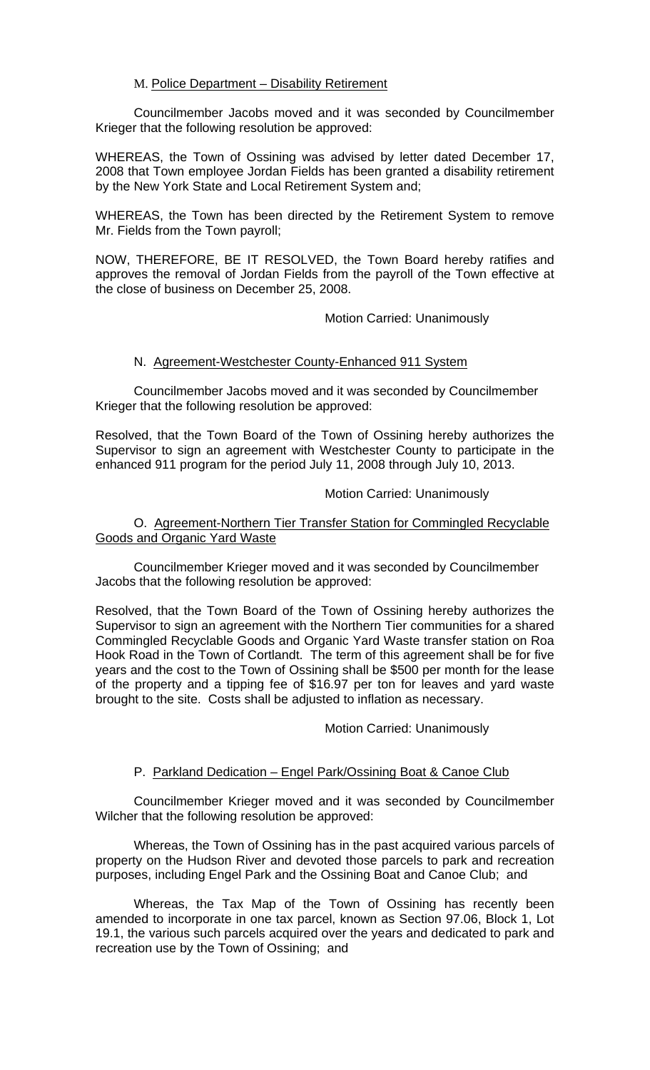## M. Police Department – Disability Retirement

Councilmember Jacobs moved and it was seconded by Councilmember Krieger that the following resolution be approved:

WHEREAS, the Town of Ossining was advised by letter dated December 17, 2008 that Town employee Jordan Fields has been granted a disability retirement by the New York State and Local Retirement System and;

WHEREAS, the Town has been directed by the Retirement System to remove Mr. Fields from the Town payroll;

NOW, THEREFORE, BE IT RESOLVED, the Town Board hereby ratifies and approves the removal of Jordan Fields from the payroll of the Town effective at the close of business on December 25, 2008.

## Motion Carried: Unanimously

# N. Agreement-Westchester County-Enhanced 911 System

 Councilmember Jacobs moved and it was seconded by Councilmember Krieger that the following resolution be approved:

Resolved, that the Town Board of the Town of Ossining hereby authorizes the Supervisor to sign an agreement with Westchester County to participate in the enhanced 911 program for the period July 11, 2008 through July 10, 2013.

## Motion Carried: Unanimously

## O. Agreement-Northern Tier Transfer Station for Commingled Recyclable Goods and Organic Yard Waste

 Councilmember Krieger moved and it was seconded by Councilmember Jacobs that the following resolution be approved:

Resolved, that the Town Board of the Town of Ossining hereby authorizes the Supervisor to sign an agreement with the Northern Tier communities for a shared Commingled Recyclable Goods and Organic Yard Waste transfer station on Roa Hook Road in the Town of Cortlandt. The term of this agreement shall be for five years and the cost to the Town of Ossining shall be \$500 per month for the lease of the property and a tipping fee of \$16.97 per ton for leaves and yard waste brought to the site. Costs shall be adjusted to inflation as necessary.

## Motion Carried: Unanimously

# P. Parkland Dedication – Engel Park/Ossining Boat & Canoe Club

 Councilmember Krieger moved and it was seconded by Councilmember Wilcher that the following resolution be approved:

 Whereas, the Town of Ossining has in the past acquired various parcels of property on the Hudson River and devoted those parcels to park and recreation purposes, including Engel Park and the Ossining Boat and Canoe Club; and

 Whereas, the Tax Map of the Town of Ossining has recently been amended to incorporate in one tax parcel, known as Section 97.06, Block 1, Lot 19.1, the various such parcels acquired over the years and dedicated to park and recreation use by the Town of Ossining; and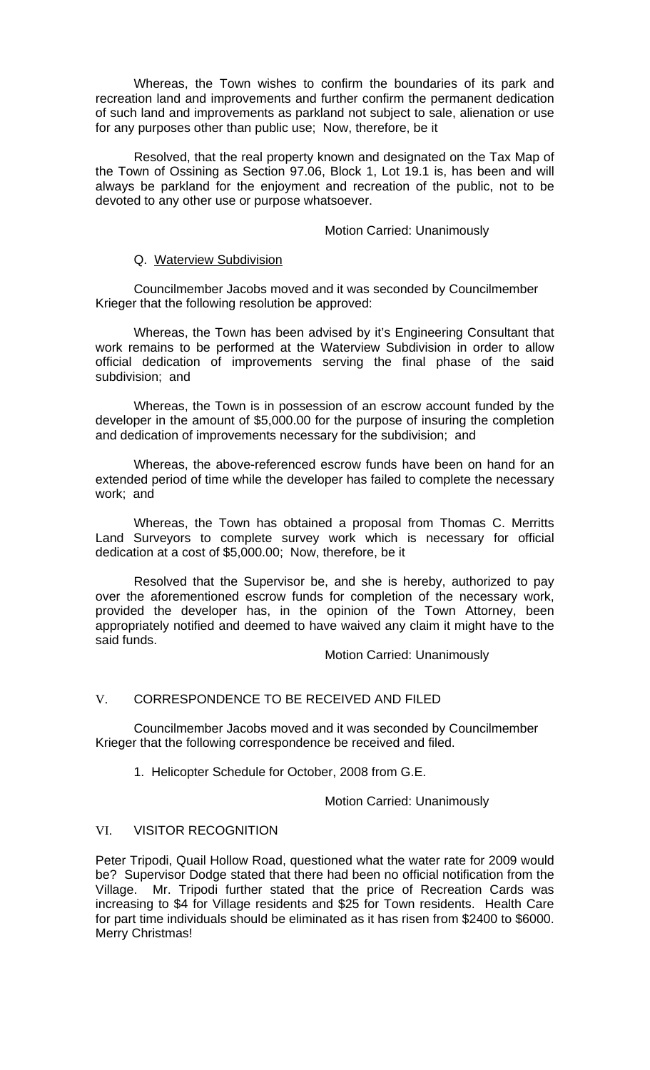Whereas, the Town wishes to confirm the boundaries of its park and recreation land and improvements and further confirm the permanent dedication of such land and improvements as parkland not subject to sale, alienation or use for any purposes other than public use; Now, therefore, be it

 Resolved, that the real property known and designated on the Tax Map of the Town of Ossining as Section 97.06, Block 1, Lot 19.1 is, has been and will always be parkland for the enjoyment and recreation of the public, not to be devoted to any other use or purpose whatsoever.

## Motion Carried: Unanimously

## Q. Waterview Subdivision

 Councilmember Jacobs moved and it was seconded by Councilmember Krieger that the following resolution be approved:

 Whereas, the Town has been advised by it's Engineering Consultant that work remains to be performed at the Waterview Subdivision in order to allow official dedication of improvements serving the final phase of the said subdivision; and

 Whereas, the Town is in possession of an escrow account funded by the developer in the amount of \$5,000.00 for the purpose of insuring the completion and dedication of improvements necessary for the subdivision; and

 Whereas, the above-referenced escrow funds have been on hand for an extended period of time while the developer has failed to complete the necessary work; and

 Whereas, the Town has obtained a proposal from Thomas C. Merritts Land Surveyors to complete survey work which is necessary for official dedication at a cost of \$5,000.00; Now, therefore, be it

 Resolved that the Supervisor be, and she is hereby, authorized to pay over the aforementioned escrow funds for completion of the necessary work, provided the developer has, in the opinion of the Town Attorney, been appropriately notified and deemed to have waived any claim it might have to the said funds.

Motion Carried: Unanimously

# V. CORRESPONDENCE TO BE RECEIVED AND FILED

Councilmember Jacobs moved and it was seconded by Councilmember Krieger that the following correspondence be received and filed.

1. Helicopter Schedule for October, 2008 from G.E.

Motion Carried: Unanimously

## VI. VISITOR RECOGNITION

Peter Tripodi, Quail Hollow Road, questioned what the water rate for 2009 would be? Supervisor Dodge stated that there had been no official notification from the Village. Mr. Tripodi further stated that the price of Recreation Cards was increasing to \$4 for Village residents and \$25 for Town residents. Health Care for part time individuals should be eliminated as it has risen from \$2400 to \$6000. Merry Christmas!